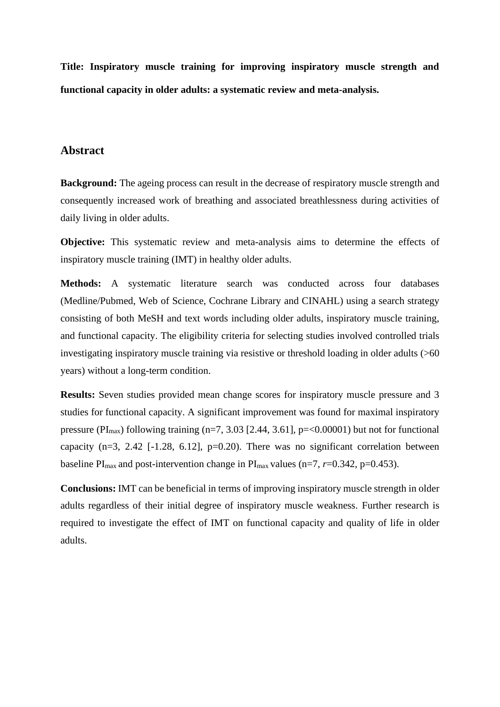**Title: Inspiratory muscle training for improving inspiratory muscle strength and functional capacity in older adults: a systematic review and meta-analysis.**

## **Abstract**

**Background:** The ageing process can result in the decrease of respiratory muscle strength and consequently increased work of breathing and associated breathlessness during activities of daily living in older adults.

**Objective:** This systematic review and meta-analysis aims to determine the effects of inspiratory muscle training (IMT) in healthy older adults.

**Methods:** A systematic literature search was conducted across four databases (Medline/Pubmed, Web of Science, Cochrane Library and CINAHL) using a search strategy consisting of both MeSH and text words including older adults, inspiratory muscle training, and functional capacity. The eligibility criteria for selecting studies involved controlled trials investigating inspiratory muscle training via resistive or threshold loading in older adults (>60 years) without a long-term condition.

**Results:** Seven studies provided mean change scores for inspiratory muscle pressure and 3 studies for functional capacity. A significant improvement was found for maximal inspiratory pressure (PI<sub>max</sub>) following training (n=7, 3.03 [2.44, 3.61], p=<0.00001) but not for functional capacity  $(n=3, 2.42$  [-1.28, 6.12],  $p=0.20$ ). There was no significant correlation between baseline  $PI_{max}$  and post-intervention change in  $PI_{max}$  values (n=7, r=0.342, p=0.453).

**Conclusions:** IMT can be beneficial in terms of improving inspiratory muscle strength in older adults regardless of their initial degree of inspiratory muscle weakness. Further research is required to investigate the effect of IMT on functional capacity and quality of life in older adults.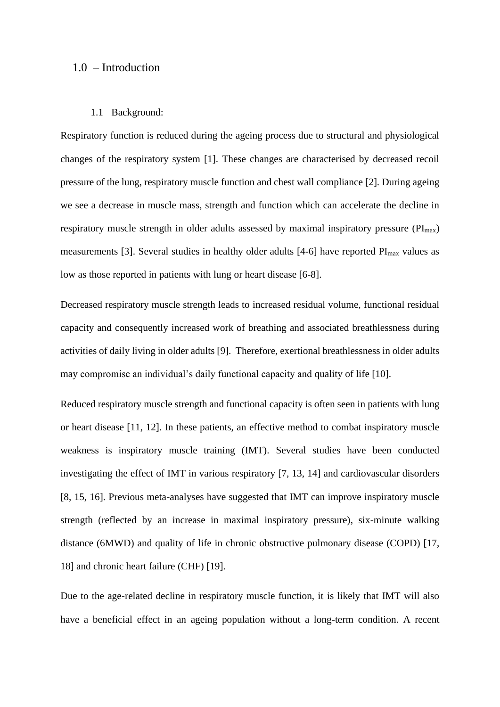### 1.0 – Introduction

#### 1.1 Background:

Respiratory function is reduced during the ageing process due to structural and physiological changes of the respiratory system [1]. These changes are characterised by decreased recoil pressure of the lung, respiratory muscle function and chest wall compliance [2]. During ageing we see a decrease in muscle mass, strength and function which can accelerate the decline in respiratory muscle strength in older adults assessed by maximal inspiratory pressure  $(PI_{max})$ measurements [3]. Several studies in healthy older adults [4-6] have reported PI<sub>max</sub> values as low as those reported in patients with lung or heart disease [6-8].

Decreased respiratory muscle strength leads to increased residual volume, functional residual capacity and consequently increased work of breathing and associated breathlessness during activities of daily living in older adults [9]. Therefore, exertional breathlessness in older adults may compromise an individual's daily functional capacity and quality of life [10].

Reduced respiratory muscle strength and functional capacity is often seen in patients with lung or heart disease [11, 12]. In these patients, an effective method to combat inspiratory muscle weakness is inspiratory muscle training (IMT). Several studies have been conducted investigating the effect of IMT in various respiratory [7, 13, 14] and cardiovascular disorders [8, 15, 16]. Previous meta-analyses have suggested that IMT can improve inspiratory muscle strength (reflected by an increase in maximal inspiratory pressure), six-minute walking distance (6MWD) and quality of life in chronic obstructive pulmonary disease (COPD) [17, 18] and chronic heart failure (CHF) [19].

Due to the age-related decline in respiratory muscle function, it is likely that IMT will also have a beneficial effect in an ageing population without a long-term condition. A recent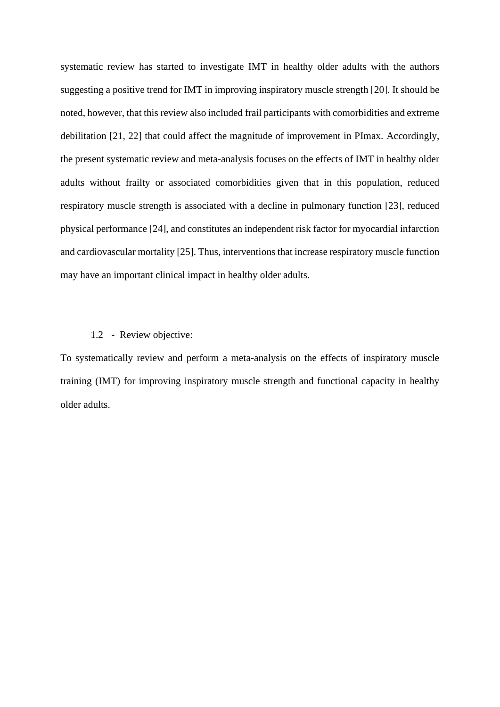systematic review has started to investigate IMT in healthy older adults with the authors suggesting a positive trend for IMT in improving inspiratory muscle strength [20]. It should be noted, however, that this review also included frail participants with comorbidities and extreme debilitation [21, 22] that could affect the magnitude of improvement in PImax. Accordingly, the present systematic review and meta-analysis focuses on the effects of IMT in healthy older adults without frailty or associated comorbidities given that in this population, reduced respiratory muscle strength is associated with a decline in pulmonary function [23], reduced physical performance [24], and constitutes an independent risk factor for myocardial infarction and cardiovascular mortality [25]. Thus, interventions that increase respiratory muscle function may have an important clinical impact in healthy older adults.

#### 1.2 - Review objective:

To systematically review and perform a meta-analysis on the effects of inspiratory muscle training (IMT) for improving inspiratory muscle strength and functional capacity in healthy older adults.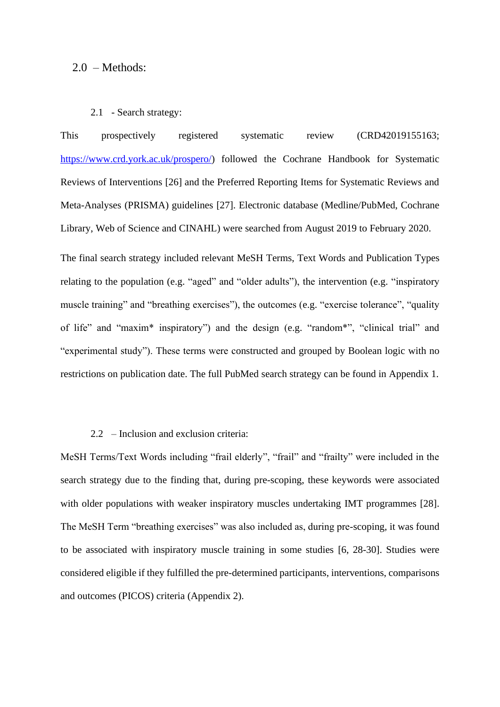### 2.0 – Methods:

### 2.1 - Search strategy:

This prospectively registered systematic review (CRD42019155163; [https://www.crd.york.ac.uk/prospero/\)](https://www.crd.york.ac.uk/prospero/) followed the Cochrane Handbook for Systematic Reviews of Interventions [26] and the Preferred Reporting Items for Systematic Reviews and Meta-Analyses (PRISMA) guidelines [27]. Electronic database (Medline/PubMed, Cochrane Library, Web of Science and CINAHL) were searched from August 2019 to February 2020.

The final search strategy included relevant MeSH Terms, Text Words and Publication Types relating to the population (e.g. "aged" and "older adults"), the intervention (e.g. "inspiratory muscle training" and "breathing exercises"), the outcomes (e.g. "exercise tolerance", "quality of life" and "maxim\* inspiratory") and the design (e.g. "random\*", "clinical trial" and "experimental study"). These terms were constructed and grouped by Boolean logic with no restrictions on publication date. The full PubMed search strategy can be found in Appendix 1.

### 2.2 – Inclusion and exclusion criteria:

MeSH Terms/Text Words including "frail elderly", "frail" and "frailty" were included in the search strategy due to the finding that, during pre-scoping, these keywords were associated with older populations with weaker inspiratory muscles undertaking IMT programmes [28]. The MeSH Term "breathing exercises" was also included as, during pre-scoping, it was found to be associated with inspiratory muscle training in some studies [6, 28-30]. Studies were considered eligible if they fulfilled the pre-determined participants, interventions, comparisons and outcomes (PICOS) criteria (Appendix 2).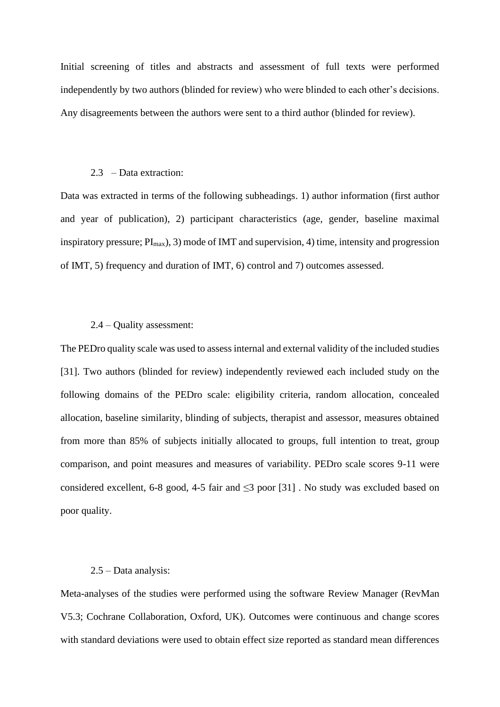Initial screening of titles and abstracts and assessment of full texts were performed independently by two authors (blinded for review) who were blinded to each other's decisions. Any disagreements between the authors were sent to a third author (blinded for review).

#### 2.3 – Data extraction:

Data was extracted in terms of the following subheadings. 1) author information (first author and year of publication), 2) participant characteristics (age, gender, baseline maximal inspiratory pressure;  $PI_{max}$ ), 3) mode of IMT and supervision, 4) time, intensity and progression of IMT, 5) frequency and duration of IMT, 6) control and 7) outcomes assessed.

### 2.4 – Quality assessment:

The PEDro quality scale was used to assess internal and external validity of the included studies [31]. Two authors (blinded for review) independently reviewed each included study on the following domains of the PEDro scale: eligibility criteria, random allocation, concealed allocation, baseline similarity, blinding of subjects, therapist and assessor, measures obtained from more than 85% of subjects initially allocated to groups, full intention to treat, group comparison, and point measures and measures of variability. PEDro scale scores 9-11 were considered excellent, 6-8 good, 4-5 fair and  $\leq$ 3 poor [31]. No study was excluded based on poor quality.

### 2.5 – Data analysis:

Meta-analyses of the studies were performed using the software Review Manager (RevMan V5.3; Cochrane Collaboration, Oxford, UK). Outcomes were continuous and change scores with standard deviations were used to obtain effect size reported as standard mean differences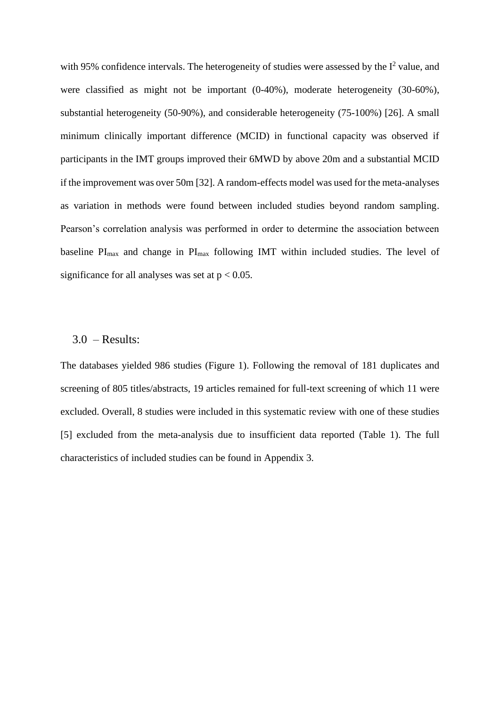with 95% confidence intervals. The heterogeneity of studies were assessed by the  $I<sup>2</sup>$  value, and were classified as might not be important (0-40%), moderate heterogeneity (30-60%), substantial heterogeneity (50-90%), and considerable heterogeneity (75-100%) [26]. A small minimum clinically important difference (MCID) in functional capacity was observed if participants in the IMT groups improved their 6MWD by above 20m and a substantial MCID if the improvement was over 50m [32]. A random-effects model was used for the meta-analyses as variation in methods were found between included studies beyond random sampling. Pearson's correlation analysis was performed in order to determine the association between baseline  $PI_{max}$  and change in  $PI_{max}$  following IMT within included studies. The level of significance for all analyses was set at  $p < 0.05$ .

## $3.0$  – Results:

The databases yielded 986 studies (Figure 1). Following the removal of 181 duplicates and screening of 805 titles/abstracts, 19 articles remained for full-text screening of which 11 were excluded. Overall, 8 studies were included in this systematic review with one of these studies [5] excluded from the meta-analysis due to insufficient data reported (Table 1). The full characteristics of included studies can be found in Appendix 3.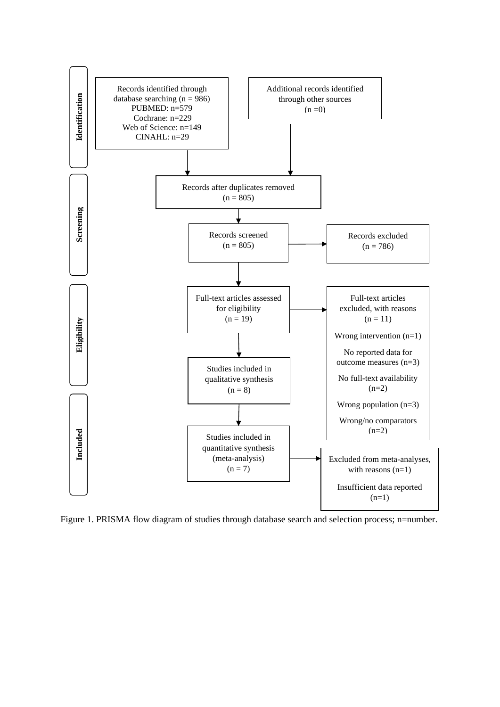

Figure 1. PRISMA flow diagram of studies through database search and selection process; n=number.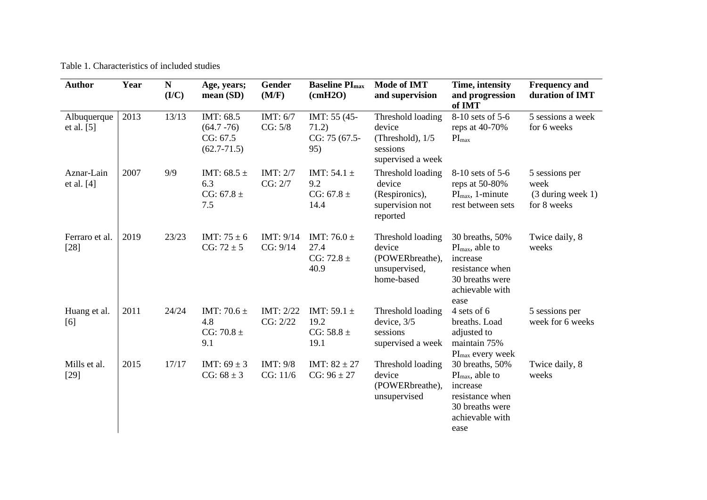Table 1. Characteristics of included studies

| <b>Author</b>               | Year | ${\bf N}$<br>( <b>I/C</b> ) | Age, years;<br>mean(SD)                                   | Gender<br>(M/F)       | <b>Baseline PI</b> <sub>max</sub><br>(cmH2O)      | <b>Mode of IMT</b><br>and supervision                                              | Time, intensity<br>and progression<br>of IMT                                                                                | <b>Frequency and</b><br>duration of IMT                      |
|-----------------------------|------|-----------------------------|-----------------------------------------------------------|-----------------------|---------------------------------------------------|------------------------------------------------------------------------------------|-----------------------------------------------------------------------------------------------------------------------------|--------------------------------------------------------------|
| Albuquerque<br>et al. $[5]$ | 2013 | 13/13                       | IMT: 68.5<br>$(64.7 - 76)$<br>CG: 67.5<br>$(62.7 - 71.5)$ | IMT: 6/7<br>CG: 5/8   | IMT: 55 (45-<br>71.2)<br>CG: 75 (67.5-<br>95)     | Threshold loading<br>device<br>(Threshold), $1/5$<br>sessions<br>supervised a week | 8-10 sets of 5-6<br>reps at $40-70%$<br>$PI_{max}$                                                                          | 5 sessions a week<br>for 6 weeks                             |
| Aznar-Lain<br>et al. $[4]$  | 2007 | 9/9                         | IMT: $68.5 \pm$<br>6.3<br>CG: $67.8 \pm$<br>7.5           | IMT: $2/7$<br>CG: 2/7 | IMT: $54.1 \pm$<br>9.2<br>CG: 67.8 $\pm$<br>14.4  | Threshold loading<br>device<br>(Respironics),<br>supervision not<br>reported       | 8-10 sets of 5-6<br>reps at $50-80%$<br>$PI_{\text{max}}$ , 1-minute<br>rest between sets                                   | 5 sessions per<br>week<br>$(3$ during week 1)<br>for 8 weeks |
| Ferraro et al.<br>$[28]$    | 2019 | 23/23                       | IMT: $75 \pm 6$<br>$CG: 72 \pm 5$                         | IMT: 9/14<br>CG: 9/14 | IMT: 76.0 $\pm$<br>27.4<br>$CG: 72.8 \pm$<br>40.9 | Threshold loading<br>device<br>(POWERbreathe),<br>unsupervised,<br>home-based      | 30 breaths, 50%<br>$PI_{\text{max}}$ , able to<br>increase<br>resistance when<br>30 breaths were<br>achievable with<br>ease | Twice daily, 8<br>weeks                                      |
| Huang et al.<br>[6]         | 2011 | 24/24                       | IMT: 70.6 $\pm$<br>4.8<br>CG: 70.8 $\pm$<br>9.1           | IMT: 2/22<br>CG: 2/22 | IMT: 59.1 $\pm$<br>19.2<br>CG: $58.8 \pm$<br>19.1 | Threshold loading<br>device, $3/5$<br>sessions<br>supervised a week                | 4 sets of 6<br>breaths. Load<br>adjusted to<br>maintain 75%<br>$PImax$ every week                                           | 5 sessions per<br>week for 6 weeks                           |
| Mills et al.<br>$[29]$      | 2015 | 17/17                       | IMT: $69 \pm 3$<br>$CG: 68 \pm 3$                         | IMT: 9/8<br>CG: 11/6  | IMT: $82 \pm 27$<br>$CG: 96 \pm 27$               | Threshold loading<br>device<br>(POWERbreathe),<br>unsupervised                     | 30 breaths, 50%<br>$PI_{\text{max}}$ , able to<br>increase<br>resistance when<br>30 breaths were<br>achievable with<br>ease | Twice daily, 8<br>weeks                                      |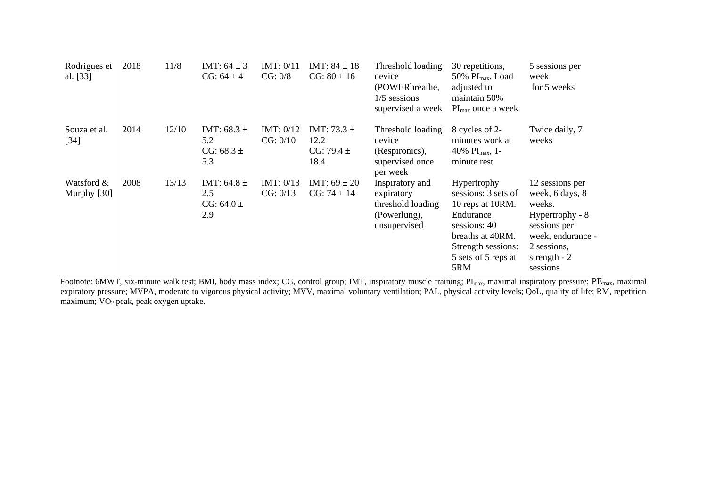| Rodrigues et<br>al. [33]  | 2018 | 11/8  | IMT: $64 \pm 3$<br>$CG: 64 \pm 4$               | IMT: $0/11$<br>CG: 0/8  | IMT: $84 \pm 18$<br>$CG: 80 \pm 16$               | Threshold loading<br>device<br>(POWERbreathe,<br>$1/5$ sessions<br>supervised a week | 30 repetitions,<br>$50\%$ PI <sub>max</sub> . Load<br>adjusted to<br>maintain 50%<br>$PI_{\text{max}}$ once a week                                                 | 5 sessions per<br>week<br>for 5 weeks                                                                                                            |
|---------------------------|------|-------|-------------------------------------------------|-------------------------|---------------------------------------------------|--------------------------------------------------------------------------------------|--------------------------------------------------------------------------------------------------------------------------------------------------------------------|--------------------------------------------------------------------------------------------------------------------------------------------------|
| Souza et al.<br>$[34]$    | 2014 | 12/10 | IMT: $68.3 \pm$<br>5.2<br>CG: $68.3 \pm$<br>5.3 | IMT: $0/12$<br>CG: 0/10 | IMT: 73.3 $\pm$<br>12.2<br>CG: 79.4 $\pm$<br>18.4 | Threshold loading<br>device<br>(Respironics),<br>supervised once<br>per week         | 8 cycles of 2-<br>minutes work at<br>40% $PI_{max}$ , 1-<br>minute rest                                                                                            | Twice daily, 7<br>weeks                                                                                                                          |
| Watsford &<br>Murphy [30] | 2008 | 13/13 | IMT: 64.8 $\pm$<br>2.5<br>CG: $64.0 \pm$<br>2.9 | IMT: $0/13$<br>CG: 0/13 | IMT: $69 \pm 20$<br>$CG: 74 \pm 14$               | Inspiratory and<br>expiratory<br>threshold loading<br>(Powerlung),<br>unsupervised   | <b>Hypertrophy</b><br>sessions: 3 sets of<br>10 reps at 10RM.<br>Endurance<br>sessions: 40<br>breaths at 40RM.<br>Strength sessions:<br>5 sets of 5 reps at<br>5RM | 12 sessions per<br>week, 6 days, 8<br>weeks.<br>Hypertrophy - 8<br>sessions per<br>week, endurance -<br>2 sessions,<br>strength $-2$<br>sessions |

Footnote: 6MWT, six-minute walk test; BMI, body mass index; CG, control group; IMT, inspiratory muscle training; PI<sub>max</sub>, maximal inspiratory pressure; PE<sub>max</sub>, maximal expiratory pressure; MVPA, moderate to vigorous physical activity; MVV, maximal voluntary ventilation; PAL, physical activity levels; QoL, quality of life; RM, repetition maximum; VO<sup>2</sup> peak, peak oxygen uptake.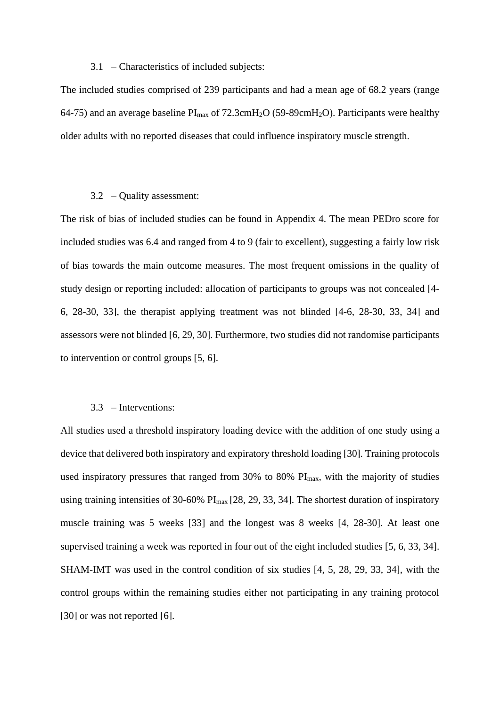#### 3.1 – Characteristics of included subjects:

The included studies comprised of 239 participants and had a mean age of 68.2 years (range 64-75) and an average baseline  $PI_{max}$  of 72.3cmH<sub>2</sub>O (59-89cmH<sub>2</sub>O). Participants were healthy older adults with no reported diseases that could influence inspiratory muscle strength.

#### 3.2 – Quality assessment:

The risk of bias of included studies can be found in Appendix 4. The mean PEDro score for included studies was 6.4 and ranged from 4 to 9 (fair to excellent), suggesting a fairly low risk of bias towards the main outcome measures. The most frequent omissions in the quality of study design or reporting included: allocation of participants to groups was not concealed [4- 6, 28-30, 33], the therapist applying treatment was not blinded [4-6, 28-30, 33, 34] and assessors were not blinded [6, 29, 30]. Furthermore, two studies did not randomise participants to intervention or control groups [5, 6].

#### 3.3 – Interventions:

All studies used a threshold inspiratory loading device with the addition of one study using a device that delivered both inspiratory and expiratory threshold loading [30]. Training protocols used inspiratory pressures that ranged from  $30\%$  to  $80\%$  PI<sub>max</sub>, with the majority of studies using training intensities of 30-60% PImax [28, 29, 33, 34]. The shortest duration of inspiratory muscle training was 5 weeks [33] and the longest was 8 weeks [4, 28-30]. At least one supervised training a week was reported in four out of the eight included studies [5, 6, 33, 34]. SHAM-IMT was used in the control condition of six studies [4, 5, 28, 29, 33, 34], with the control groups within the remaining studies either not participating in any training protocol [30] or was not reported [6].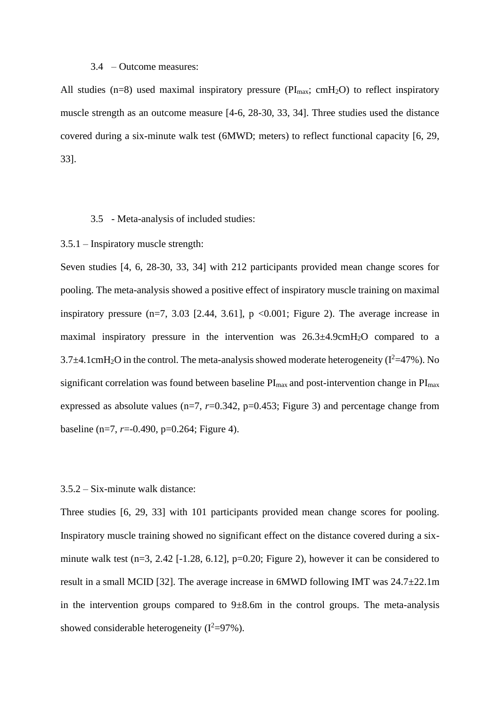#### 3.4 – Outcome measures:

All studies (n=8) used maximal inspiratory pressure ( $PI_{\text{max}}$ ; cmH<sub>2</sub>O) to reflect inspiratory muscle strength as an outcome measure [4-6, 28-30, 33, 34]. Three studies used the distance covered during a six-minute walk test (6MWD; meters) to reflect functional capacity [6, 29, 33].

#### 3.5 - Meta-analysis of included studies:

### 3.5.1 – Inspiratory muscle strength:

Seven studies [4, 6, 28-30, 33, 34] with 212 participants provided mean change scores for pooling. The meta-analysis showed a positive effect of inspiratory muscle training on maximal inspiratory pressure  $(n=7, 3.03$  [2.44, 3.61], p <0.001; Figure 2). The average increase in maximal inspiratory pressure in the intervention was  $26.3\pm4.9$ cmH<sub>2</sub>O compared to a  $3.7\pm4.1$ cmH<sub>2</sub>O in the control. The meta-analysis showed moderate heterogeneity ( $I^2=47\%$ ). No significant correlation was found between baseline  $PI_{max}$  and post-intervention change in  $PI_{max}$ expressed as absolute values  $(n=7, r=0.342, p=0.453;$  Figure 3) and percentage change from baseline (n=7, *r*=-0.490, p=0.264; Figure 4).

### 3.5.2 – Six-minute walk distance:

Three studies [6, 29, 33] with 101 participants provided mean change scores for pooling. Inspiratory muscle training showed no significant effect on the distance covered during a sixminute walk test  $(n=3, 2.42$  [-1.28, 6.12],  $p=0.20$ ; Figure 2), however it can be considered to result in a small MCID [32]. The average increase in 6MWD following IMT was 24.7±22.1m in the intervention groups compared to  $9\pm 8.6$ m in the control groups. The meta-analysis showed considerable heterogeneity  $(I^2=97\%)$ .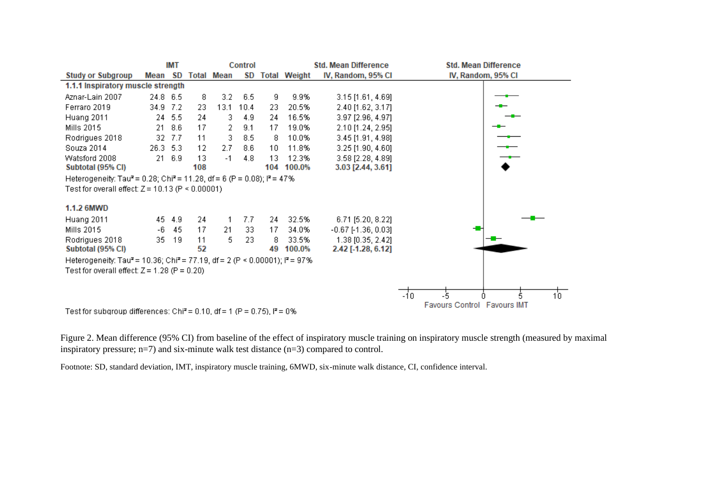

Figure 2. Mean difference (95% CI) from baseline of the effect of inspiratory muscle training on inspiratory muscle strength (measured by maximal inspiratory pressure; n=7) and six-minute walk test distance (n=3) compared to control.

Footnote: SD, standard deviation, IMT, inspiratory muscle training, 6MWD, six-minute walk distance, CI, confidence interval.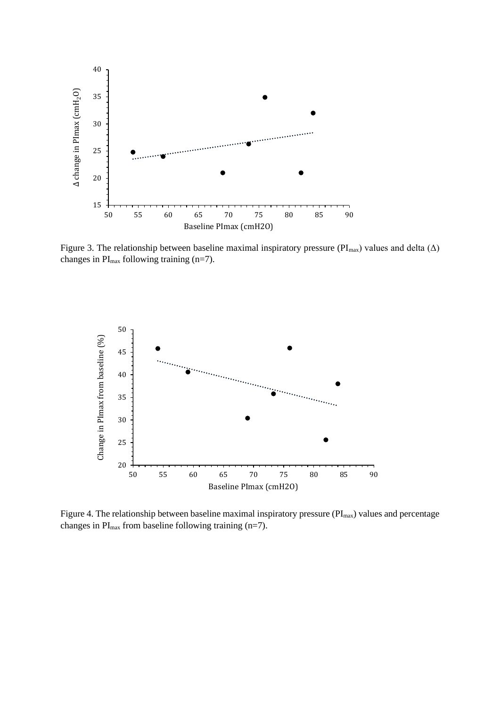

Figure 3. The relationship between baseline maximal inspiratory pressure ( $PI<sub>max</sub>$ ) values and delta ( $\Delta$ ) changes in  $PI_{max}$  following training (n=7).



Figure 4. The relationship between baseline maximal inspiratory pressure (PI<sub>max</sub>) values and percentage changes in  $PI_{max}$  from baseline following training (n=7).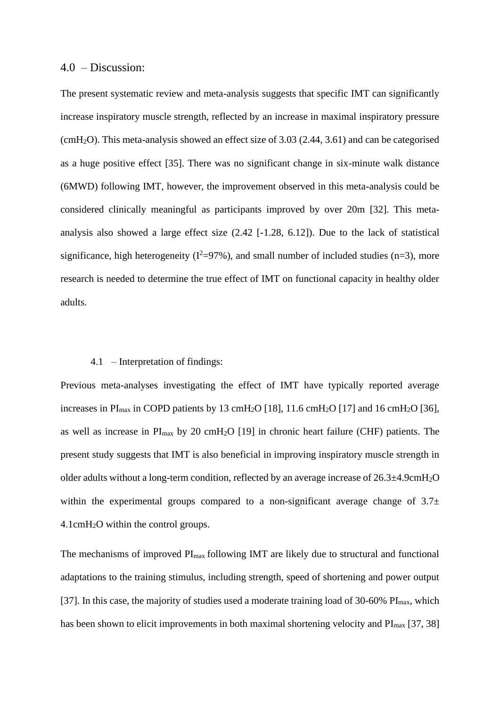### 4.0 – Discussion:

The present systematic review and meta-analysis suggests that specific IMT can significantly increase inspiratory muscle strength, reflected by an increase in maximal inspiratory pressure (cmH<sub>2</sub>O). This meta-analysis showed an effect size of 3.03 (2.44, 3.61) and can be categorised as a huge positive effect [35]. There was no significant change in six-minute walk distance (6MWD) following IMT, however, the improvement observed in this meta-analysis could be considered clinically meaningful as participants improved by over 20m [32]. This metaanalysis also showed a large effect size (2.42 [-1.28, 6.12]). Due to the lack of statistical significance, high heterogeneity ( $I^2=97\%$ ), and small number of included studies (n=3), more research is needed to determine the true effect of IMT on functional capacity in healthy older adults.

#### 4.1 – Interpretation of findings:

Previous meta-analyses investigating the effect of IMT have typically reported average increases in PI<sub>max</sub> in COPD patients by 13 cmH<sub>2</sub>O [18], 11.6 cmH<sub>2</sub>O [17] and 16 cmH<sub>2</sub>O [36], as well as increase in  $PI_{max}$  by 20 cmH<sub>2</sub>O [19] in chronic heart failure (CHF) patients. The present study suggests that IMT is also beneficial in improving inspiratory muscle strength in older adults without a long-term condition, reflected by an average increase of 26.3±4.9cmH2O within the experimental groups compared to a non-significant average change of  $3.7\pm$ 4.1cmH2O within the control groups.

The mechanisms of improved  $PI<sub>max</sub>$  following IMT are likely due to structural and functional adaptations to the training stimulus, including strength, speed of shortening and power output [37]. In this case, the majority of studies used a moderate training load of 30-60%  $PI_{\text{max}}$ , which has been shown to elicit improvements in both maximal shortening velocity and  $PI_{max}$  [37, 38]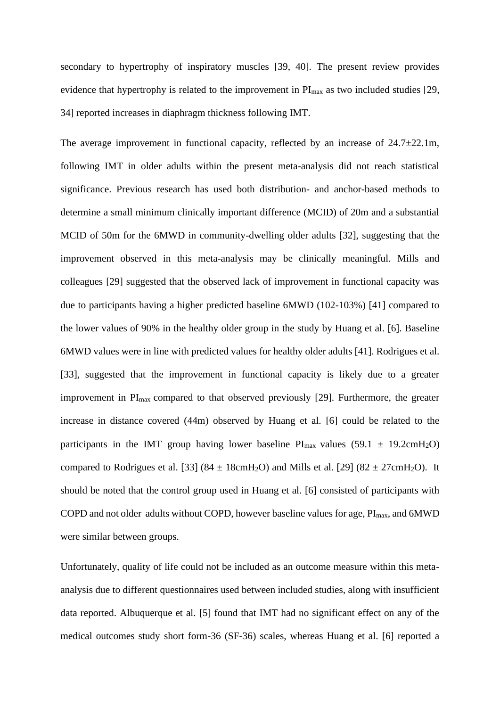secondary to hypertrophy of inspiratory muscles [39, 40]. The present review provides evidence that hypertrophy is related to the improvement in  $PI_{max}$  as two included studies [29, 34] reported increases in diaphragm thickness following IMT.

The average improvement in functional capacity, reflected by an increase of  $24.7\pm22.1$ m, following IMT in older adults within the present meta-analysis did not reach statistical significance. Previous research has used both distribution- and anchor-based methods to determine a small minimum clinically important difference (MCID) of 20m and a substantial MCID of 50m for the 6MWD in community-dwelling older adults [32], suggesting that the improvement observed in this meta-analysis may be clinically meaningful. Mills and colleagues [29] suggested that the observed lack of improvement in functional capacity was due to participants having a higher predicted baseline 6MWD (102-103%) [41] compared to the lower values of 90% in the healthy older group in the study by Huang et al. [6]. Baseline 6MWD values were in line with predicted values for healthy older adults [41]. Rodrigues et al. [33], suggested that the improvement in functional capacity is likely due to a greater improvement in PI<sub>max</sub> compared to that observed previously [29]. Furthermore, the greater increase in distance covered (44m) observed by Huang et al. [6] could be related to the participants in the IMT group having lower baseline  $PI_{max}$  values (59.1  $\pm$  19.2cmH<sub>2</sub>O) compared to Rodrigues et al. [33]  $(84 \pm 18 \text{cm} \text{H}_2\text{O})$  and Mills et al. [29]  $(82 \pm 27 \text{cm} \text{H}_2\text{O})$ . It should be noted that the control group used in Huang et al. [6] consisted of participants with COPD and not older adults without COPD, however baseline values for age,  $PI_{max}$ , and 6MWD were similar between groups.

Unfortunately, quality of life could not be included as an outcome measure within this metaanalysis due to different questionnaires used between included studies, along with insufficient data reported. Albuquerque et al. [5] found that IMT had no significant effect on any of the medical outcomes study short form-36 (SF-36) scales, whereas Huang et al. [6] reported a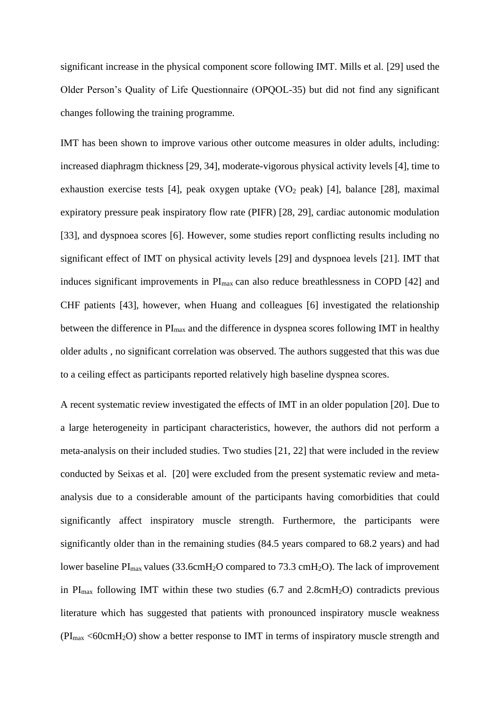significant increase in the physical component score following IMT. Mills et al. [29] used the Older Person's Quality of Life Questionnaire (OPQOL-35) but did not find any significant changes following the training programme.

IMT has been shown to improve various other outcome measures in older adults, including: increased diaphragm thickness [29, 34], moderate-vigorous physical activity levels [4], time to exhaustion exercise tests [4], peak oxygen uptake  $(VO<sub>2</sub>$  peak) [4], balance [28], maximal expiratory pressure peak inspiratory flow rate (PIFR) [28, 29], cardiac autonomic modulation [33], and dyspnoea scores [6]. However, some studies report conflicting results including no significant effect of IMT on physical activity levels [29] and dyspnoea levels [21]. IMT that induces significant improvements in PI<sub>max</sub> can also reduce breathlessness in COPD [42] and CHF patients [43], however, when Huang and colleagues [6] investigated the relationship between the difference in PI<sub>max</sub> and the difference in dyspnea scores following IMT in healthy older adults , no significant correlation was observed. The authors suggested that this was due to a ceiling effect as participants reported relatively high baseline dyspnea scores.

A recent systematic review investigated the effects of IMT in an older population [20]. Due to a large heterogeneity in participant characteristics, however, the authors did not perform a meta-analysis on their included studies. Two studies [21, 22] that were included in the review conducted by Seixas et al. [20] were excluded from the present systematic review and metaanalysis due to a considerable amount of the participants having comorbidities that could significantly affect inspiratory muscle strength. Furthermore, the participants were significantly older than in the remaining studies (84.5 years compared to 68.2 years) and had lower baseline  $PI_{max}$  values (33.6cmH<sub>2</sub>O compared to 73.3 cmH<sub>2</sub>O). The lack of improvement in  $PI_{\text{max}}$  following IMT within these two studies (6.7 and 2.8cmH<sub>2</sub>O) contradicts previous literature which has suggested that patients with pronounced inspiratory muscle weakness  $(PI_{max} < 60cmH<sub>2</sub>O)$  show a better response to IMT in terms of inspiratory muscle strength and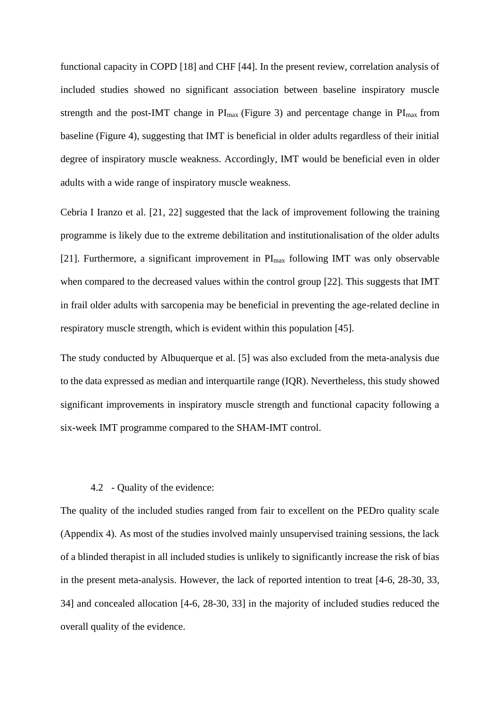functional capacity in COPD [18] and CHF [44]. In the present review, correlation analysis of included studies showed no significant association between baseline inspiratory muscle strength and the post-IMT change in  $PI_{max}$  (Figure 3) and percentage change in  $PI_{max}$  from baseline (Figure 4), suggesting that IMT is beneficial in older adults regardless of their initial degree of inspiratory muscle weakness. Accordingly, IMT would be beneficial even in older adults with a wide range of inspiratory muscle weakness.

Cebria I Iranzo et al. [21, 22] suggested that the lack of improvement following the training programme is likely due to the extreme debilitation and institutionalisation of the older adults [21]. Furthermore, a significant improvement in  $PI_{max}$  following IMT was only observable when compared to the decreased values within the control group [22]. This suggests that IMT in frail older adults with sarcopenia may be beneficial in preventing the age-related decline in respiratory muscle strength, which is evident within this population [45].

The study conducted by Albuquerque et al. [5] was also excluded from the meta-analysis due to the data expressed as median and interquartile range (IQR). Nevertheless, this study showed significant improvements in inspiratory muscle strength and functional capacity following a six-week IMT programme compared to the SHAM-IMT control.

### 4.2 - Quality of the evidence:

The quality of the included studies ranged from fair to excellent on the PEDro quality scale (Appendix 4). As most of the studies involved mainly unsupervised training sessions, the lack of a blinded therapist in all included studies is unlikely to significantly increase the risk of bias in the present meta-analysis. However, the lack of reported intention to treat [4-6, 28-30, 33, 34] and concealed allocation [4-6, 28-30, 33] in the majority of included studies reduced the overall quality of the evidence.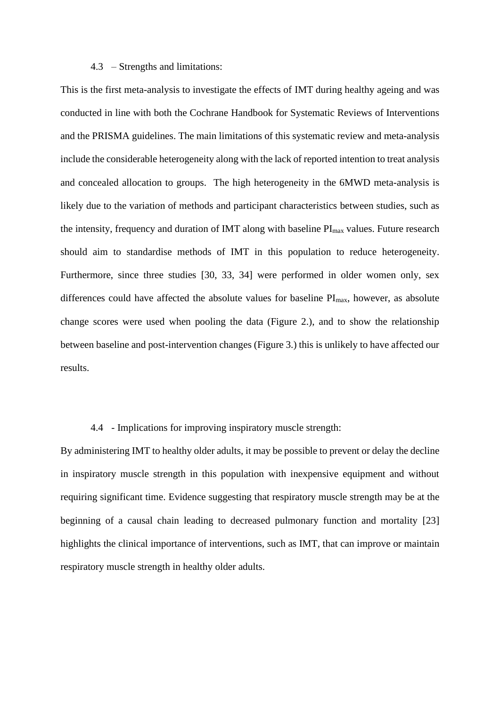### 4.3 – Strengths and limitations:

This is the first meta-analysis to investigate the effects of IMT during healthy ageing and was conducted in line with both the Cochrane Handbook for Systematic Reviews of Interventions and the PRISMA guidelines. The main limitations of this systematic review and meta-analysis include the considerable heterogeneity along with the lack of reported intention to treat analysis and concealed allocation to groups. The high heterogeneity in the 6MWD meta-analysis is likely due to the variation of methods and participant characteristics between studies, such as the intensity, frequency and duration of IMT along with baseline  $PI<sub>max</sub>$  values. Future research should aim to standardise methods of IMT in this population to reduce heterogeneity. Furthermore, since three studies [30, 33, 34] were performed in older women only, sex differences could have affected the absolute values for baseline  $PI_{max}$ , however, as absolute change scores were used when pooling the data (Figure 2.), and to show the relationship between baseline and post-intervention changes (Figure 3.) this is unlikely to have affected our results.

## 4.4 - Implications for improving inspiratory muscle strength:

By administering IMT to healthy older adults, it may be possible to prevent or delay the decline in inspiratory muscle strength in this population with inexpensive equipment and without requiring significant time. Evidence suggesting that respiratory muscle strength may be at the beginning of a causal chain leading to decreased pulmonary function and mortality [23] highlights the clinical importance of interventions, such as IMT, that can improve or maintain respiratory muscle strength in healthy older adults.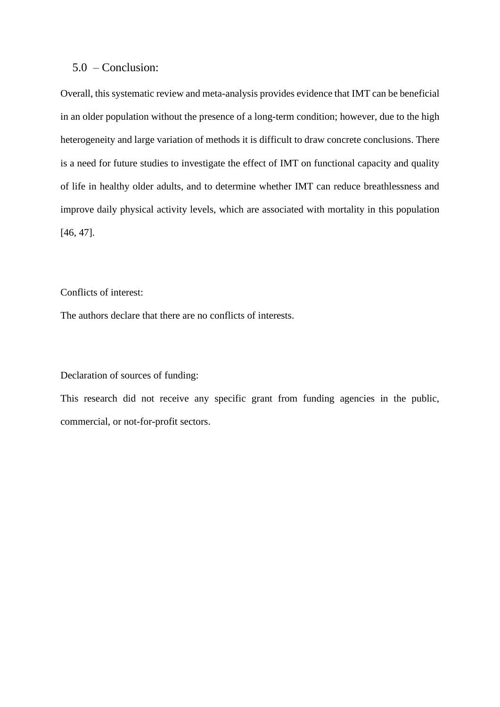## 5.0 – Conclusion:

Overall, this systematic review and meta-analysis provides evidence that IMT can be beneficial in an older population without the presence of a long-term condition; however, due to the high heterogeneity and large variation of methods it is difficult to draw concrete conclusions. There is a need for future studies to investigate the effect of IMT on functional capacity and quality of life in healthy older adults, and to determine whether IMT can reduce breathlessness and improve daily physical activity levels, which are associated with mortality in this population [46, 47].

## Conflicts of interest:

The authors declare that there are no conflicts of interests.

### Declaration of sources of funding:

This research did not receive any specific grant from funding agencies in the public, commercial, or not-for-profit sectors.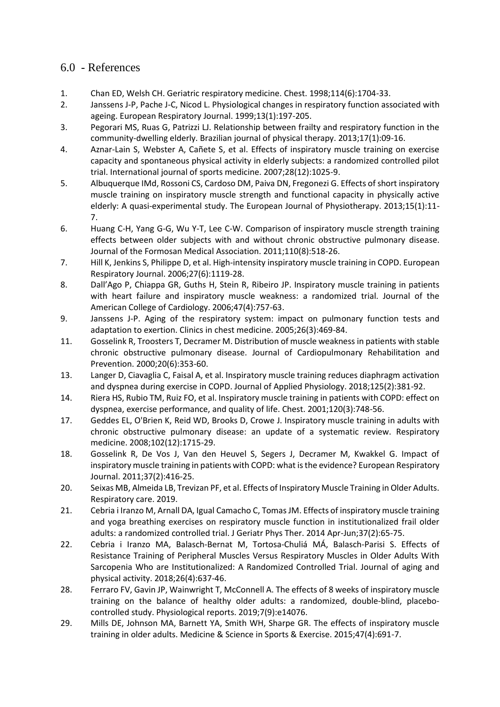# 6.0 - References

- 1. Chan ED, Welsh CH. Geriatric respiratory medicine. Chest. 1998;114(6):1704-33.
- 2. Janssens J-P, Pache J-C, Nicod L. Physiological changes in respiratory function associated with ageing. European Respiratory Journal. 1999;13(1):197-205.
- 3. Pegorari MS, Ruas G, Patrizzi LJ. Relationship between frailty and respiratory function in the community-dwelling elderly. Brazilian journal of physical therapy. 2013;17(1):09-16.
- 4. Aznar-Lain S, Webster A, Cañete S, et al. Effects of inspiratory muscle training on exercise capacity and spontaneous physical activity in elderly subjects: a randomized controlled pilot trial. International journal of sports medicine. 2007;28(12):1025-9.
- 5. Albuquerque IMd, Rossoni CS, Cardoso DM, Paiva DN, Fregonezi G. Effects of short inspiratory muscle training on inspiratory muscle strength and functional capacity in physically active elderly: A quasi-experimental study. The European Journal of Physiotherapy. 2013;15(1):11- 7.
- 6. Huang C-H, Yang G-G, Wu Y-T, Lee C-W. Comparison of inspiratory muscle strength training effects between older subjects with and without chronic obstructive pulmonary disease. Journal of the Formosan Medical Association. 2011;110(8):518-26.
- 7. Hill K, Jenkins S, Philippe D, et al. High-intensity inspiratory muscle training in COPD. European Respiratory Journal. 2006;27(6):1119-28.
- 8. Dall'Ago P, Chiappa GR, Guths H, Stein R, Ribeiro JP. Inspiratory muscle training in patients with heart failure and inspiratory muscle weakness: a randomized trial. Journal of the American College of Cardiology. 2006;47(4):757-63.
- 9. Janssens J-P. Aging of the respiratory system: impact on pulmonary function tests and adaptation to exertion. Clinics in chest medicine. 2005;26(3):469-84.
- 11. Gosselink R, Troosters T, Decramer M. Distribution of muscle weakness in patients with stable chronic obstructive pulmonary disease. Journal of Cardiopulmonary Rehabilitation and Prevention. 2000;20(6):353-60.
- 13. Langer D, Ciavaglia C, Faisal A, et al. Inspiratory muscle training reduces diaphragm activation and dyspnea during exercise in COPD. Journal of Applied Physiology. 2018;125(2):381-92.
- 14. Riera HS, Rubio TM, Ruiz FO, et al. Inspiratory muscle training in patients with COPD: effect on dyspnea, exercise performance, and quality of life. Chest. 2001;120(3):748-56.
- 17. Geddes EL, O'Brien K, Reid WD, Brooks D, Crowe J. Inspiratory muscle training in adults with chronic obstructive pulmonary disease: an update of a systematic review. Respiratory medicine. 2008;102(12):1715-29.
- 18. Gosselink R, De Vos J, Van den Heuvel S, Segers J, Decramer M, Kwakkel G. Impact of inspiratory muscle training in patients with COPD: what is the evidence? European Respiratory Journal. 2011;37(2):416-25.
- 20. Seixas MB, Almeida LB, Trevizan PF, et al. Effects of Inspiratory Muscle Training in Older Adults. Respiratory care. 2019.
- 21. Cebria i Iranzo M, Arnall DA, Igual Camacho C, Tomas JM. Effects of inspiratory muscle training and yoga breathing exercises on respiratory muscle function in institutionalized frail older adults: a randomized controlled trial. J Geriatr Phys Ther. 2014 Apr-Jun;37(2):65-75.
- 22. Cebria i Iranzo MA, Balasch-Bernat M, Tortosa-Chuliá MÁ, Balasch-Parisi S. Effects of Resistance Training of Peripheral Muscles Versus Respiratory Muscles in Older Adults With Sarcopenia Who are Institutionalized: A Randomized Controlled Trial. Journal of aging and physical activity. 2018;26(4):637-46.
- 28. Ferraro FV, Gavin JP, Wainwright T, McConnell A. The effects of 8 weeks of inspiratory muscle training on the balance of healthy older adults: a randomized, double‐blind, placebo‐ controlled study. Physiological reports. 2019;7(9):e14076.
- 29. Mills DE, Johnson MA, Barnett YA, Smith WH, Sharpe GR. The effects of inspiratory muscle training in older adults. Medicine & Science in Sports & Exercise. 2015;47(4):691-7.